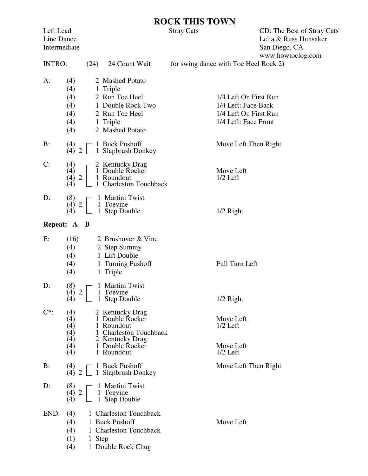## **ROCK THIS TOWN**<br>Stray Cats

Left Lead Stray Cats CD: The Best of Stray Cats Line Dance<br>Intermediate Lelia & Russ Hunsaker<br>San Diego, CA San Diego, CA www.howtoclog.com

| <b>INTRO:</b> | (24)                                          | 24 Count Wait                                                                                                                  | (or swing dance with Toe Heel Rock 2)                                                         |
|---------------|-----------------------------------------------|--------------------------------------------------------------------------------------------------------------------------------|-----------------------------------------------------------------------------------------------|
| $A$ :         | (4)<br>(4)<br>(4)<br>(4)<br>(4)<br>(4)<br>(4) | 2 Mashed Potato<br>1 Triple<br>2 Run Toe Heel<br>1 Double Rock Two<br>2 Run Toe Heel<br>1 Triple<br>2 Mashed Potato            | 1/4 Left On First Run<br>1/4 Left: Face Back<br>1/4 Left On First Run<br>1/4 Left: Face Front |
| B:            | (4)                                           | 1 Buck Pushoff<br>$(4)$ 2 $\Box$ 1 Slapbrush Donkey                                                                            | Move Left Then Right                                                                          |
| C:            | (4)<br>(4)<br>$(4)$ 2<br>(4)                  | 2 Kentucky Drag<br>1 Double Rocker<br>1 Roundout<br>1 Charleston Touchback                                                     | Move Left<br>$1/2$ Left                                                                       |
| D:            | (8)<br>(4) 2<br>(4)                           | 1 Martini Twist<br>1 Toevine<br>1 Step Double                                                                                  | $1/2$ Right                                                                                   |
|               | Repeat: A B                                   |                                                                                                                                |                                                                                               |
| E:            | (16)<br>(4)<br>(4)<br>(4)<br>(4)              | 2 Brushover & Vine<br>2 Step Summy<br>1 Lift Double<br>1 Turning Pushoff<br>1 Triple                                           | Full Turn Left                                                                                |
| D:            | (8)<br>(4) 2<br>(4)                           | 1 Martini Twist<br>1 Toevine<br>1 Step Double                                                                                  | $1/2$ Right                                                                                   |
| $C^*$         | (4)<br>(4)<br>(4)<br>(4)<br>(4)<br>(4)<br>(4) | 2 Kentucky Drag<br>1 Double Rocker<br>1 Roundout<br>1 Charleston Touchback<br>2 Kentucky Drag<br>1 Double Rocker<br>1 Roundout | Move Left<br>$1/2$ Left<br>Move Left<br>$1/2$ Left                                            |
| B:            | (4)<br>$(4)$ 2 $\Box$                         | 1 Buck Pushoff<br>1 Slapbrush Donkey                                                                                           | Move Left Then Right                                                                          |
| D:            | (8)<br>(4) 2<br>(4)                           | 1 Martini Twist<br>1 Toevine<br>1 Step Double                                                                                  |                                                                                               |
| END:          | (4)<br>(4)<br>(4)<br>(1)<br>1 Step            | 1 Charleston Touchback<br>1 Buck Pushoff<br>1 Charleston Touchback                                                             | Move Left                                                                                     |

(4) 1 Double Rock Chug